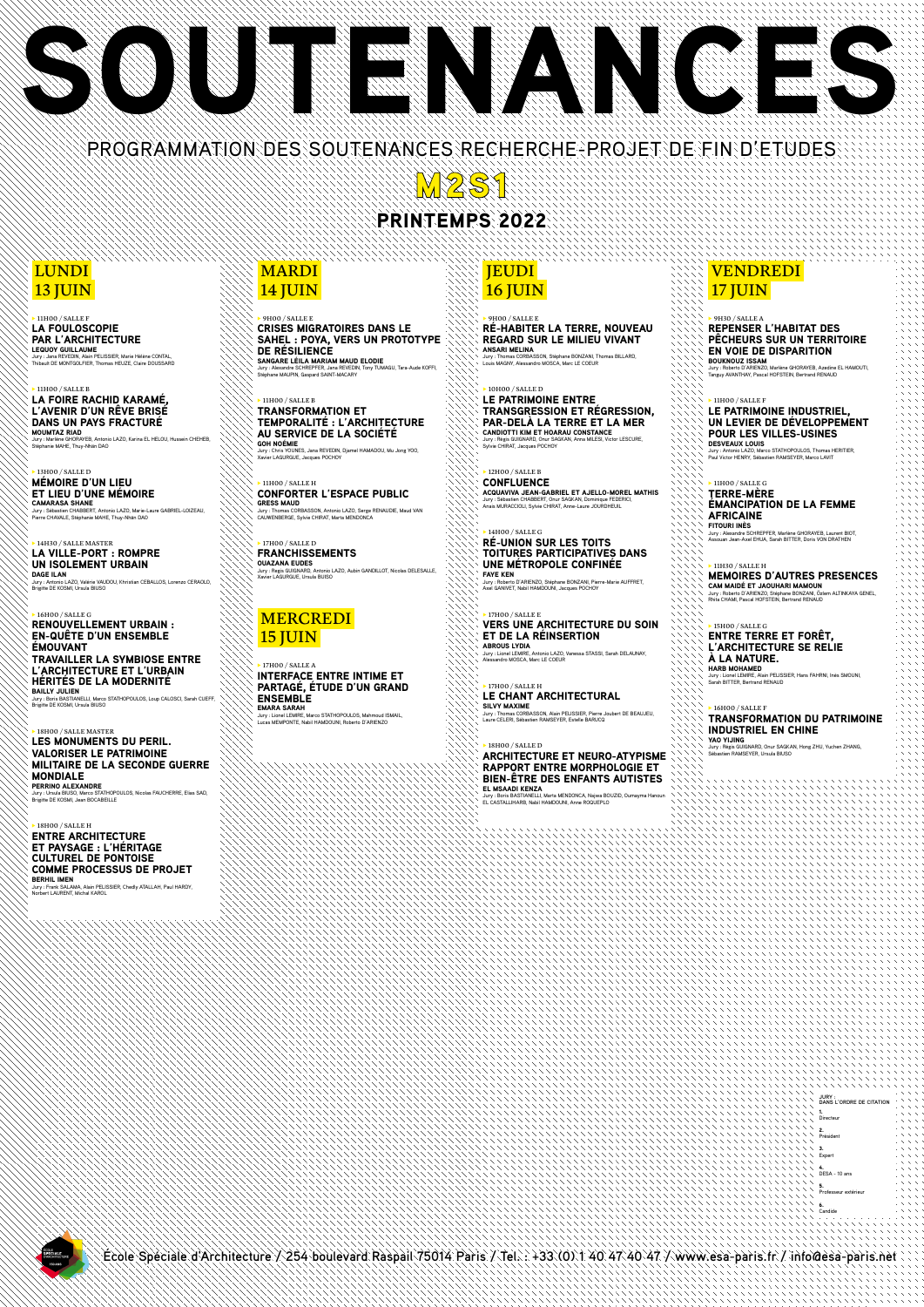

| Jury : Jana REVEDIN, Alain PELISSIER, Marie Hélène CONTAL,<br>Thibault DE MONTGOLFIER, Thomas HEUZE, Claire DOUSSARD                                                                                                                                      | UL IILJILILIIVL<br>SANGARE LÉILA MARIAM MAUD ELODIE<br>Jury: Alexandre SCHREPFER, Jana REVEDIN, Tony TUMAGU, Tara-Aude KOFFI,<br>Stéphane MAUPIN, Gaspard SAINT-MACARY                                                                   | ヘスメメン<br>ヘスペスト<br>ヘアメント<br>ヘスメメン                                                                                          |
|-----------------------------------------------------------------------------------------------------------------------------------------------------------------------------------------------------------------------------------------------------------|------------------------------------------------------------------------------------------------------------------------------------------------------------------------------------------------------------------------------------------|---------------------------------------------------------------------------------------------------------------------------|
| $\triangleright$ 11H00 / SALLE B<br>LA FOIRE RACHID KARAME,<br>L'AVENIR D'UN REVE BRISE<br><b>DANS UN PAYS FRACTURE</b><br><b>MOUMTAZ RIAD</b><br>Jury: Marlène GHORAYEB, Antonio LAZO, Karina EL HELOU, Hussein CHEHEB,<br>Stéphanie MAHE, Thuy-Nhän DAO | 11HOO / SALLE B<br><b>TRANSFORMATION ET</b><br><b>TEMPORALITE : L'ARCHITECTURE</b><br>AU SERVICE DE LA SOCIETE<br><b>GOH NOEMIE</b><br>Jury: Chris YOUNES, Jana REVEDIN, Djamel HAMADOU, Mu Jong YOO,<br>Xavier LAGURGUE, Jacques POCHOY | ヘスメメン<br>ヘスメメン<br>ヘスメメン<br>ヘスメメン<br>ヘスメメン<br>ヘスメメト<br>ヘスメメン<br>ヘスメメン<br>ヘスメメン<br>ヘスメメン<br>ヘスメメン<br>ヘスメメン                  |
| $\triangleright$ 13H00 / SALLE D<br><b>MEMOIRE D'UN LIEU</b><br>ET LIEU D'UNE MEMOIRE<br><b>CAMARASA SHANE</b><br>Jury: Sébastien CHABBERT, Antonio LAZO, Marie-Laure GABRIEL-LOIZEAU,<br>Pierre CHAVALE, Stéphanie MAHE, Thuy-Nhän DAO                   | 11H00 / SALLE H<br><b>CONFORTER L'ESPACE PUBLIC</b><br><b>GRESS MAUD</b><br>Jury: Thomas CORBASSON, Antonio LAZO, Serge RENAUDIE, Maud VAN<br>CAUWENBERGE, Sylvie CHIRAT, Marta MENDONCA<br>メンテン                                         | ヘアメント<br>ヘスメメン<br>ヘスメメン<br>ヘスメメン<br>ヘスメメン<br>ヘスメメン<br>ヘスメメン<br>ヘスメメン<br>シンシンツ<br>ヘスメメン                                    |
| $\triangleright$ 14H30 / SALLE MASTER<br><b>LA VILLE-PORT : ROMPRE</b><br>UN ISOLEMENT URBAIN<br><b>DAGE ILAN</b><br>Jury: Antonio LAZO, Valérie VAUDOU, Khristian CEBALLOS, Lorenzo CERAOLO,<br>Brigitte DE KOSMI, Ursula BIUSO                          | $\blacktriangleright$ 17H00 / SALLE D<br><b>FRANCHISSEMENTS</b><br><b>OUAZANA EUDES</b><br>Jury: Regis GUIGNARD, Antonio LAZO, Aubin GANDILLOT, Nicolas DELESALLE,<br>Xavier LAGURGUE, Ursula BUISO                                      | シンシン<br>マスマイン<br>シンシン<br>ヘスメメン<br>ヘスメメン<br>ヘスメメン<br>ヘアメント<br>ヘスメント<br>ヘスメスト<br>シンシング                                      |
| $\triangleright$ 16H00 / SALLE G<br><b>RENOUVELLEMENT URBAIN:</b><br><b>EN-QUETE D'UN ENSEMBLE</b><br><b>EMOUVANT</b><br><b>TRAVAILLER LA SYMBIOSE ENTRE</b><br>L'ARCHITECTURE ET L'URBAIN<br><b>HERITES DE LA MODERNITE</b><br><b>BAILLY JULIEN</b>      | MERCREDI<br>17H00 / SALLE A<br><b>INTERFACE ENTRE INTIME ET</b><br><b>PARTAGE, ETUDE D'UN GRAND</b>                                                                                                                                      | ヘスメスト<br>マスマンシ<br>マンマン<br>ヘスメメン<br>ヘスメメン<br>ヘスメメン<br>ヘスメメン<br>ヘスペスト<br>アメメイン<br>ヘスメメン<br>ヘスメメン<br>ヘスメメン<br>ヘスメメン<br>スペススト |

| メメメメン<br>メメメント | $\mathbb{R} \setminus \mathbb{R}$ ANSARI MELINA<br>/ المسلم المسلم المسلم المسلم المسلم المسلم المسلم المسلم المسلم المسلم المسلم المسلم المسلم المسلم المسلم الم<br>A A A Louis MAGNY, Alessandro MOSCA, Marc LE COEUR | アメリスメン<br>メンシンズ<br>アメリスズ<br>メンシンズ | <b>NAMES OF DISPARITION</b><br><b>BOUKNOUZ ISSAM</b><br>Jury: Roberto D'ARIENZO, Marlène GHORAYEB, Azedine EL HAMOUTI,<br>Tanguy AVANTHAY, Pascal HOFSTEIN, Bertrand RENAUD |
|----------------|-------------------------------------------------------------------------------------------------------------------------------------------------------------------------------------------------------------------------|-----------------------------------|-----------------------------------------------------------------------------------------------------------------------------------------------------------------------------|
|                | $\sum_{n=1}^{\infty}$ > 10H00 / SALLE D                                                                                                                                                                                 | アメンシス<br>アメリスズ                    |                                                                                                                                                                             |
|                | LE PATRIMOINE ENTRE                                                                                                                                                                                                     | アンシンズ<br>メメメメン                    | $\blacktriangleright$ 11H00 / SALLE F                                                                                                                                       |
|                | <b>SERVIT TRANSGRESSION ET REGRESSION,</b>                                                                                                                                                                              |                                   | <b>Exercise LE PATRIMOINE INDUSTRIEL,</b>                                                                                                                                   |
|                | REAR-DELA LA TERRE ET LA MER                                                                                                                                                                                            | マンシンズ                             | NESSEN UN LEVIER DE DEVELOPPEMENT                                                                                                                                           |
|                | <b>SAN CANDIOTTI KIM ET HOARAU CONSTANCE</b>                                                                                                                                                                            |                                   | <b>NAMA POUR LES VILLES-USINES</b>                                                                                                                                          |
|                | A MESS Jury: Régis GUIGNARD, Onur SAGKAN, Anna MILESI, Victor LESCURE,<br>Sylvie CHIRAT, Jacques POCHOY                                                                                                                 | アメンシスプ                            | <b>DESVEAUX LOUIS</b>                                                                                                                                                       |
| メメメント<br>メメメント |                                                                                                                                                                                                                         | メンスメン<br>アンスメント<br>アメリス           | Jury: Antonio LAZO, Marco STATHOPOULOS, Thomas HERITIER,<br>Paul Victor HENRY, Sébastien RAMSEYER, Marco LAVIT                                                              |
|                | $\sum_{n=1}^{\infty}$ > 12H00 / SALLE B                                                                                                                                                                                 | アメンシン                             |                                                                                                                                                                             |
|                | CONFLUENCE<br>ACQUAVIVA JEAN-GABRIEL ET AJELLO-MOREL MATHIS                                                                                                                                                             | メメメメス<br>メメメンス                    | $\triangleright$ 11H00 / SALLE G                                                                                                                                            |
|                |                                                                                                                                                                                                                         | メンシンズ                             | <b>TERRE-MERE</b>                                                                                                                                                           |
| メメメン           | Jury: Sébastien CHABBERT, Onur SAGKAN, Dominique FEDERICI,                                                                                                                                                              | マンシンズ                             |                                                                                                                                                                             |
| メメメン           | Anais MURACCIOLI, Sylvie CHIRAT, Anne-Laure JOURDHEUIL                                                                                                                                                                  | マンスメン                             | <b>EMANCIPATION DE LA FEMME</b>                                                                                                                                             |
| アメアント<br>アメメアン |                                                                                                                                                                                                                         | アメリスメー                            | <b>SANGARE</b>                                                                                                                                                              |
|                |                                                                                                                                                                                                                         | アンシンズ                             | <b>FITOURI INES</b><br>Jury : Alexandre SCHREPFER, Marlène GHORAYEB, Laurent BIOT,                                                                                          |
|                | RÉ-UNION SUR LES TOITS                                                                                                                                                                                                  | メメメメス<br>アメリス                     | Assouan Jean-Axel EHUA, Sarah BITTER, Doris VON DRATHEN                                                                                                                     |
|                | TOITURES PARTICIPATIVES DANS                                                                                                                                                                                            | メンシンズ                             |                                                                                                                                                                             |
|                |                                                                                                                                                                                                                         | アメリスズ                             |                                                                                                                                                                             |
|                | <b>WAS SEX UNE METROPOLE CONFINEE</b><br><b>FAYE KEN</b>                                                                                                                                                                | メンスメン                             | $\angle$ $\angle$ $\angle$ $\angle$ $\angle$ 11H30 / SALLE H                                                                                                                |
| ***            | Jury : Roberto D'ARIENZO, Stéphane BONZANI, Pierre-Marie AUFFRET,                                                                                                                                                       | マンスメント                            | <b>MEMOIRES D'AUTRES PRESENCES</b>                                                                                                                                          |
|                | Axel GANIVET, Nabil HAMDOUNI, Jacques POCHOY                                                                                                                                                                            |                                   | <b>NANOUN</b> CAM MAIDÉ ET JAOUHARI MAMOUN<br>N N N N Jury : Roberto D'ARIENZO, Stéphane BONZANI, Özlem ALTINKAYA GENEL,                                                    |
| メメメント          |                                                                                                                                                                                                                         |                                   | A A A Rhita CHAMI, Pascal HOFSTEIN, Bertrand RENAUD                                                                                                                         |
| メメメメン          |                                                                                                                                                                                                                         | アメリスズ<br>アメリスズ                    |                                                                                                                                                                             |
|                | $\N\$ > 17H00 / SALLE E<br>VERS UNE ARCHITECTURE DU SOIN                                                                                                                                                                | アメンシン                             |                                                                                                                                                                             |
|                |                                                                                                                                                                                                                         |                                   | $\sqrt{2}$ > 15H00 / SALLE G                                                                                                                                                |
|                | <b>ET DE LA RÉINSERTION</b>                                                                                                                                                                                             | マンスメン                             | NERRE TERRE ET FORET,                                                                                                                                                       |
|                | <b>NATIONAL ABROUS LYDIA</b><br>Servey Strategy Strategy Strategy Strategy Strategy Strategy Strategy Strategy Strategy Strategy Strategy Strategy                                                                      |                                   | <b>EXAMPLE SE RELIE</b>                                                                                                                                                     |
|                | Alessandro MOSCA, Marc LE COEUR                                                                                                                                                                                         | アメンスメー<br>スメスメス                   | A LA NATURE.                                                                                                                                                                |
| メメメント          |                                                                                                                                                                                                                         | トアメント                             | <b>HARB MOHAMED</b>                                                                                                                                                         |
| メメメント          |                                                                                                                                                                                                                         |                                   | A A A MUSSIER, Hans FAHRNI, Inès SMOUNI,<br>A A A A Sarah BITTER, Bertrand RENAUD                                                                                           |
| メメメン<br>アメアアン  | 17H00 / SALLEH                                                                                                                                                                                                          | アメンシス                             |                                                                                                                                                                             |

 $\Delta \sim \Delta \sim \Delta \sim \Delta$  $\Delta_{\rm c}$  ,  $\Delta_{\rm c}$  ,  $\Delta_{\rm c}$  ,  $\Delta$  $N_{\rm e}$  ,  $N_{\rm e}$  ,  $N_{\rm e}$  ,  $N_{\rm e}$  $\Delta_{\rm c}$  ,  $\Delta_{\rm c}$  ,  $\Delta_{\rm c}$  ,  $\Delta$  $\Delta \sim \Delta \sim \Delta \sim \Delta$  $\mathcal{N}_1$  ,  $\mathcal{N}_2$  ,  $\mathcal{N}_3$  ,  $\mathcal{N}_4$  $\Delta \sim \Delta \sim \Delta \sim \Delta$  $\Delta_{\rm c}$  ,  $\Delta_{\rm c}$  ,  $\Delta_{\rm c}$  ,  $\Delta$  $\Delta \sim \Delta \sim \Delta \sim \Delta$  $\mathcal{N}=\mathcal{N}=\mathcal{N}=\mathcal{N}$  $\Delta_{\rm c}$  ,  $\Delta_{\rm c}$  ,  $\Delta_{\rm c}$  ,  $\Delta$  $\mathcal{N}_1$  ,  $\mathcal{N}_2$  ,  $\mathcal{N}_3$  ,  $\mathcal{N}_4$  $\Delta_{\rm c}$  ,  $\Delta_{\rm c}$  ,  $\Delta_{\rm c}$  ,  $\Delta$  $\Delta_{\rm c}$  ,  $\Delta_{\rm c}$  ,  $\Delta_{\rm c}$  ,  $\Delta$  $\Delta_{\rm c}$  ,  $\Delta_{\rm c}$  ,  $\Delta_{\rm c}$  ,  $\Delta$  $\Delta \sim \Delta \sim \Delta \sim \Delta$  $\mathcal{N}_1$  ,  $\mathcal{N}_2$  ,  $\mathcal{N}_3$  ,  $\mathcal{N}_4$  $\Delta_{\rm c}$  ,  $\Delta_{\rm c}$  ,  $\Delta_{\rm c}$  ,  $\Delta$  $\Delta_{\rm c}$  ,  $\Delta_{\rm c}$  ,  $\Delta_{\rm c}$  ,  $\Delta$  $\Delta_{\rm c}$  ,  $\Delta_{\rm c}$  ,  $\Delta_{\rm c}$  ,  $\Delta$  $\Delta \sim \Delta \sim \Delta \sim \Delta$  $\Delta_{\rm c}$  ,  $\Delta_{\rm c}$  ,  $\Delta_{\rm c}$  ,  $\Delta$  $\mathcal{N}_1$  ,  $\mathcal{N}_2$  ,  $\mathcal{N}_3$  ,  $\mathcal{N}_4$  $\Delta_{\rm c}$  ,  $\Delta_{\rm c}$  ,  $\Delta_{\rm c}$  ,  $\Delta$  $\Delta_{\rm c}$  ,  $\Delta_{\rm c}$  ,  $\Delta_{\rm c}$  ,  $\Delta$  $\Delta_{\rm c}$  ,  $\Delta_{\rm c}$  ,  $\Delta_{\rm c}$  ,  $\Delta$  $\Delta \sim \Delta \sim \Delta \sim \Delta$  $\Delta_{\rm c}$  ,  $\Delta_{\rm c}$  ,  $\Delta_{\rm c}$  ,  $\Delta$  $\Delta_{\rm c}$  ,  $\Delta_{\rm c}$  ,  $\Delta_{\rm c}$  ,  $\Delta$  $\Delta_{\rm c}$  ,  $\Delta_{\rm c}$  ,  $\Delta_{\rm c}$  ,  $\Delta$  $\Delta_{\rm c}$  ,  $\Delta_{\rm c}$  ,  $\Delta_{\rm c}$  ,  $\Delta$ 

 $N_{\rm e} \sim N_{\rm e} \sim N_{\rm e}$  $N_{\rm e} \sim N_{\rm e} \sim N_{\rm e}$  $\Delta_{\rm c}$  ,  $\Delta_{\rm c}$  ,  $\Delta_{\rm c}$  ,  $\Delta$  $\Delta_{\rm c}$  ,  $\Delta_{\rm c}$  ,  $\Delta_{\rm c}$  ,  $\Delta$  $\Delta \sim \Delta \sim \Delta \sim \Delta$  $\mathcal{N}=\mathcal{N}=\mathcal{N}=\mathcal{N}$  $\Delta_{\rm c}$  ,  $\Delta_{\rm c}$  ,  $\Delta_{\rm c}$  ,  $\Delta$ 

 $\Delta \sim \Delta \sim \Delta \sim \Delta$ 

 $\Delta \sim \Delta \sim \Delta \sim \Delta$  $\Delta \sim \Delta \sim \Delta \sim \Delta$ 

 $\Delta \sim \Delta \sim \Delta \sim \Delta$  $\Delta \sim \Delta \sim \Delta \sim \Delta$  $\Delta_{\rm c}$  ,  $\Delta_{\rm c}$  ,  $\Delta_{\rm c}$  ,  $\Delta$  $\Delta \sim \Delta \sim \Delta \sim \Delta$  $\Delta \sim \Delta \sim \Delta \sim \Delta$  $\Delta \sim \Delta \sim \Delta \sim \Delta$  $\Delta \sim \Delta \sim \Delta \sim \Delta$  $\mathcal{N} \subset \mathcal{N} \subset \mathcal{N} \subset \mathcal{N}$ 

LE CHANT ARCHITECTURAL ヘベベベベ  $\mathcal{N}_0$  ,  $\mathcal{N}_0$  ,  $\mathcal{N}_1$  ,  $\mathcal{N}_2$ ENSEMBLE Jury : Boris BASTIANELLI, Marco STATHOPOULOS, Loup CALOSCI, Sarah CUEFF, メスメメス メメメス SILVY MAXIME  $\Delta_{\rm c}$  ,  $\Delta_{\rm c}$  ,  $\Delta_{\rm c}$  ,  $\Delta_{\rm c}$ Brigitte DE KOSMI, Ursula BIUSO EMARA SARAH ▶ 16H00 / SALLE F  $\times$   $\times$   $\times$   $\times$  $\mathcal{N}_0$  ,  $\mathcal{N}_1$  ,  $\mathcal{N}_2$  ,  $\mathcal{N}_3$ Jury : Thomas CORBASSON, Alain PELISSIER, Pierre Joubert DE BEAUJEU, Jury : Lionel LEMIRE, Marco STATHOPOULOS, Mahmoud ISMAIL, TRANSFORMATION DU PATRIMOINE メメメス アメンシン  $\mathcal{N}_1$  ,  $\mathcal{N}_2$  ,  $\mathcal{N}_3$  ,  $\mathcal{N}_4$ Laure CELERI, Sébastien RAMSEYER, Estelle BARUCQ Lucas MEMPONTE, Nabil HAMDOUNI, Roberto D'ARIENZO アメアア メメメメス  $\Delta_{\rm c}$  ,  $\Delta_{\rm c}$  ,  $\Delta_{\rm c}$  ,  $\Delta_{\rm c}$ INDUSTRIEL EN CHINE メメメス ▶ 18H00 / SALLE MASTER スペスペス  $\mathcal{N}_\mathrm{c} = \mathcal{N}_\mathrm{c} = \mathcal{N}_\mathrm{c} = \mathcal{N}_\mathrm{c}$ メメメス YAO YIJING  $\mathcal{N}_1$  ,  $\mathcal{N}_2$  ,  $\mathcal{N}_3$  ,  $\mathcal{N}_4$ LES MONUMENTS DU PERIL.  $N \ N \ N \ D$  18H00 / SALLE D Jury : Régis GUIGNARD, Onur SAGKAN, Hong ZHU, Yuchen ZHANG,  $\mathcal{N}_\mathrm{c} = \mathcal{N}_\mathrm{c} = \mathcal{N}_\mathrm{c} = \mathcal{N}_\mathrm{c}$ VALORISER LE PATRIMOINE アメアス  $\mathcal{N}_0$  ,  $\mathcal{N}_1$  ,  $\mathcal{N}_2$  ,  $\mathcal{N}_3$ ARCHITECTURE ET NEURO-ATYPISME  $\sum_{k}$  Sébastien RAMSEYER, Ursula BIUSO ヘアメン  $\mathcal{N}_1$  ,  $\mathcal{N}_2$  ,  $\mathcal{N}_3$  ,  $\mathcal{N}_4$ MILITAIRE DE LA SECONDE GUERRE RAPPORT ENTRE MORPHOLOGIE ET アメンシン  $\mathcal{N}_1$  ,  $\mathcal{N}_2$  ,  $\mathcal{N}_3$  ,  $\mathcal{N}_4$ メスメスス  $\mathcal{N}_0$  ,  $\mathcal{N}_0$  ,  $\mathcal{N}_0$  ,  $\mathcal{N}_0$ MONDIALE BIEN-ÊTRE DES ENFANTS AUTISTES スメメスス PERRINO ALEXANDRE EL MSAADI KENZA スプンプンスズメス Jury : Ursula BIUSO, Marco STATHOPOULOS, Nicolas FAUCHERRE, Elias SAD, レンジン アンマンシング アンマンシング アンマンスズメント Jury : Boris BASTIANELLI, Marta MENDONCA, Najwa BOUZID, Oumayma Hanoun Brigitte DE KOSMI, Jean BOCABEILLE EL CASTALLIHARB, Nabil HAMDOUNI, Anne ROQUEPLO メントアン アンマン アンマン アンマン アンマン アノブランス バントン アンコンスティッシュ アンマン アンマン アンマンス ストレント ファン マンファンス ストレス ストレス ストレスメント バントントン マンス・マン アンマン アンマン アンマン アンマン ▶ 18H00 / SALLE H ヘンファン アンコンスティング アンマン アンマン アンプランジング ENTRE ARCHITECTURE メント・マン マンマン マンマン マンマン アンプレイン アンマン アンマン アンジアン アンジン アンマン マンマン アンプランス ノン・ファン ファン ファン ファン マック ファン アブライブ アブラブ アブライブ アブラブ アブラブ アブラブス ET PAYSAGE : L'HÉRITAGE レンジン アファン アンマン アンマン アンティアン アンプランス アンドランス アンプランプ アンドランス アンドランス アンプランス CULTUREL DE PONTOISE ソンマン ノンマン ファン マンマン マンマン マンマン アンプスプランス アンプランス アンプランス アンプランス アンプランス アンプランス COMME PROCESSUS DE PROJET ハント・ファント ファン ファント・ファント アンプランス アンプランプ アファンス アンプランス アンプランス アントン アンマン アンマン アンマン アンマン アンスプランス アンマン アンスプランプ アイアン アンマン アンマン アンマン アンダイアン BERHIL IMEN Jury : Frank SALAMA, Alain PELISSIER, Chedly ATALLAH, Paul HARDY, トレント アンティング アンティング アンティング アンティング アンドラインス アンドライブ アイアン アンディング アンドラインス アンディング Norbert LAURENT, Michal KAROL フラント・マン マンマン アンマン アンマン アンマン アンマン アンダイブ アンプラント アンディアン アンデンシン アンマン アンマン アンマン アンディアン アンマン アンマン アンマン アンスター アイアン アンマン アンマン アンマン アンマンスト メント・ファン マンファン マンファン マンファン アンプランス アンプランプ アンプランプ アンプランス アンプランス アントレント アンマン アンマン アンマン アンティング アンマン アンダンス アンダンス アンダンス アンダンス アンダンス アンマン アンダンス アンダンス フラント・ファン ファン ファン ファン ファン ファン アンプスプランプ アンプランプ アンプランプ アンプランプ アンプランプランプ メント・マン マンド・マン アンスト アンストランス アンダンス アンダンス アンマン アンマン アンマン アンマン アンマン アンマン メント・マント アンマン・アント アンストランス アンダンス アンダンス アンマン アンマン アンマン アンマン アンマン メメント スタントン スタントン スタントン スタンス スタンス スタンス スマン スマン スマン スマン スマンスマン メント・ファン スタックス アンティブ スタックス アンプラインス アンプライブ アンプライブ アンプライブス ハント・マント アンストランス アール・エー アール・アール アール・アール アール・アール アール・アール アール・マール